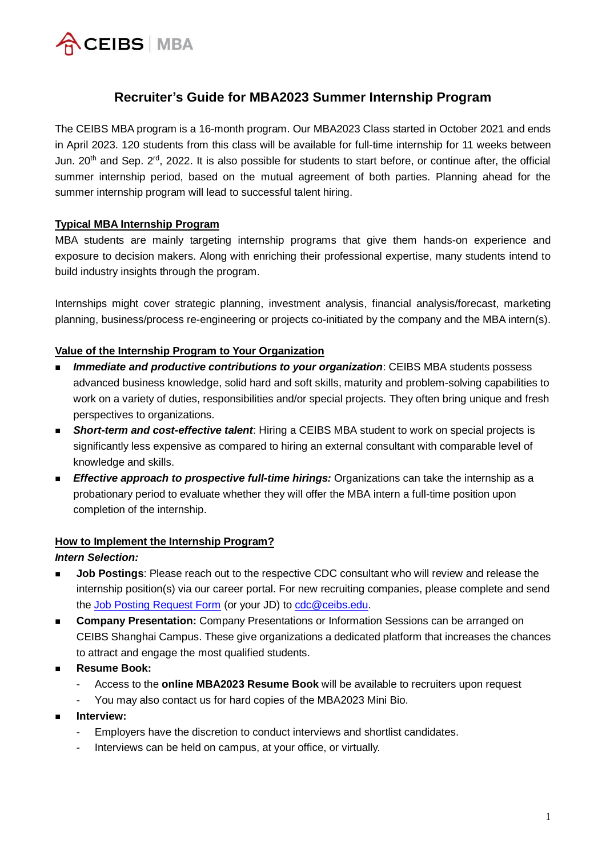

# **Recruiter's Guide for MBA2023 Summer Internship Program**

The CEIBS MBA program is a 16-month program. Our MBA2023 Class started in October 2021 and ends in April 2023. 120 students from this class will be available for full-time internship for 11 weeks between Jun. 20<sup>th</sup> and Sep. 2<sup>rd</sup>, 2022. It is also possible for students to start before, or continue after, the official summer internship period, based on the mutual agreement of both parties. Planning ahead for the summer internship program will lead to successful talent hiring.

#### **Typical MBA Internship Program**

MBA students are mainly targeting internship programs that give them hands-on experience and exposure to decision makers. Along with enriching their professional expertise, many students intend to build industry insights through the program.

Internships might cover strategic planning, investment analysis, financial analysis/forecast, marketing planning, business/process re-engineering or projects co-initiated by the company and the MBA intern(s).

# **Value of the Internship Program to Your Organization**

- *Immediate and productive contributions to your organization*: CEIBS MBA students possess advanced business knowledge, solid hard and soft skills, maturity and problem-solving capabilities to work on a variety of duties, responsibilities and/or special projects. They often bring unique and fresh perspectives to organizations.
- **Short-term and cost-effective talent**: Hiring a CEIBS MBA student to work on special projects is significantly less expensive as compared to hiring an external consultant with comparable level of knowledge and skills.
- *Effective approach to prospective full-time hirings:* **Organizations can take the internship as a** probationary period to evaluate whether they will offer the MBA intern a full-time position upon completion of the internship.

#### **How to Implement the Internship Program?**

#### *Intern Selection:*

- **Job Postings:** Please reach out to the respective CDC consultant who will review and release the internship position(s) via our career portal. For new recruiting companies, please complete and send the [Job Posting Request Form](https://www.ceibs.edu/files/2021-02/C67FA920D8596883743A624B60C8EA8F%20%281%29.doc) (or your JD) to [cdc@ceibs.edu.](mailto:cdc@ceibs.edu)
- **Company Presentation:** Company Presentations or Information Sessions can be arranged on CEIBS Shanghai Campus. These give organizations a dedicated platform that increases the chances to attract and engage the most qualified students.
- Resume Book:
	- Access to the **online MBA2023 Resume Book** will be available to recruiters upon request
	- You may also contact us for hard copies of the MBA2023 Mini Bio.
- ◼ **Interview:**
	- Employers have the discretion to conduct interviews and shortlist candidates.
	- Interviews can be held on campus, at your office, or virtually.